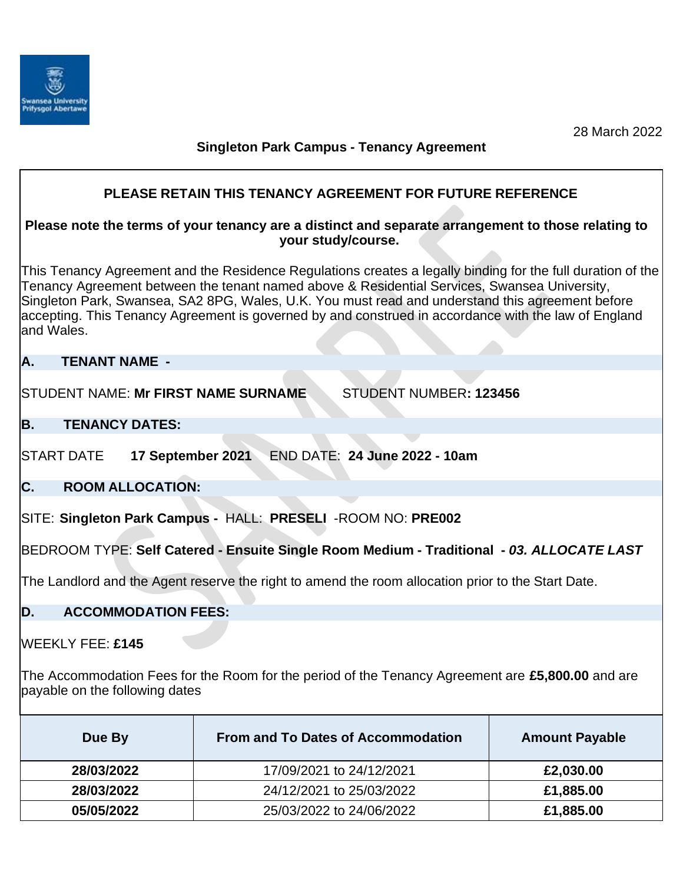

# **Singleton Park Campus - Tenancy Agreement**

# **PLEASE RETAIN THIS TENANCY AGREEMENT FOR FUTURE REFERENCE**

## **Please note the terms of your tenancy are a distinct and separate arrangement to those relating to your study/course.**

This Tenancy Agreement and the Residence Regulations creates a legally binding for the full duration of the Tenancy Agreement between the tenant named above & Residential Services, Swansea University, Singleton Park, Swansea, SA2 8PG, Wales, U.K. You must read and understand this agreement before accepting. This Tenancy Agreement is governed by and construed in accordance with the law of England and Wales.

## **A. TENANT NAME -**

STUDENT NAME: **Mr FIRST NAME SURNAME** STUDENT NUMBER**: 123456**

## **B. TENANCY DATES:**

START DATE **17 September 2021** END DATE: **24 June 2022 - 10am**

**C. ROOM ALLOCATION:**

SITE: **Singleton Park Campus -** HALL: **PRESELI** -ROOM NO: **PRE002**

BEDROOM TYPE: **Self Catered - Ensuite Single Room Medium - Traditional -** *03. ALLOCATE LAST*

The Landlord and the Agent reserve the right to amend the room allocation prior to the Start Date.

## **D. ACCOMMODATION FEES:**

WEEKLY FEE: **£145**

The Accommodation Fees for the Room for the period of the Tenancy Agreement are **£5,800.00** and are payable on the following dates

| Due By     | <b>From and To Dates of Accommodation</b> | <b>Amount Payable</b> |
|------------|-------------------------------------------|-----------------------|
| 28/03/2022 | 17/09/2021 to 24/12/2021                  | £2,030.00             |
| 28/03/2022 | 24/12/2021 to 25/03/2022                  | £1,885.00             |
| 05/05/2022 | 25/03/2022 to 24/06/2022                  | £1,885.00             |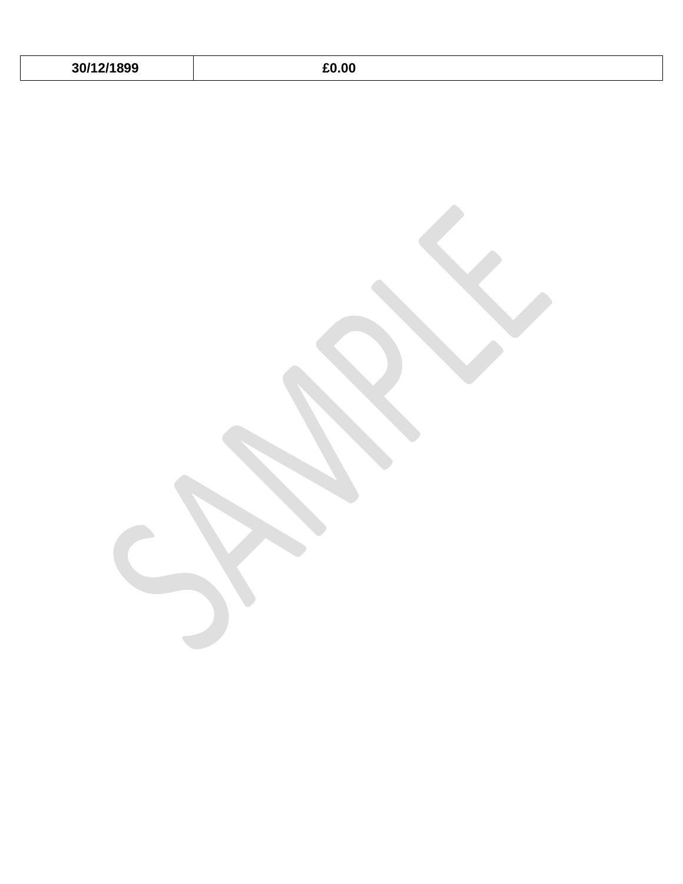| 30/12/1899 |  |  |
|------------|--|--|
|------------|--|--|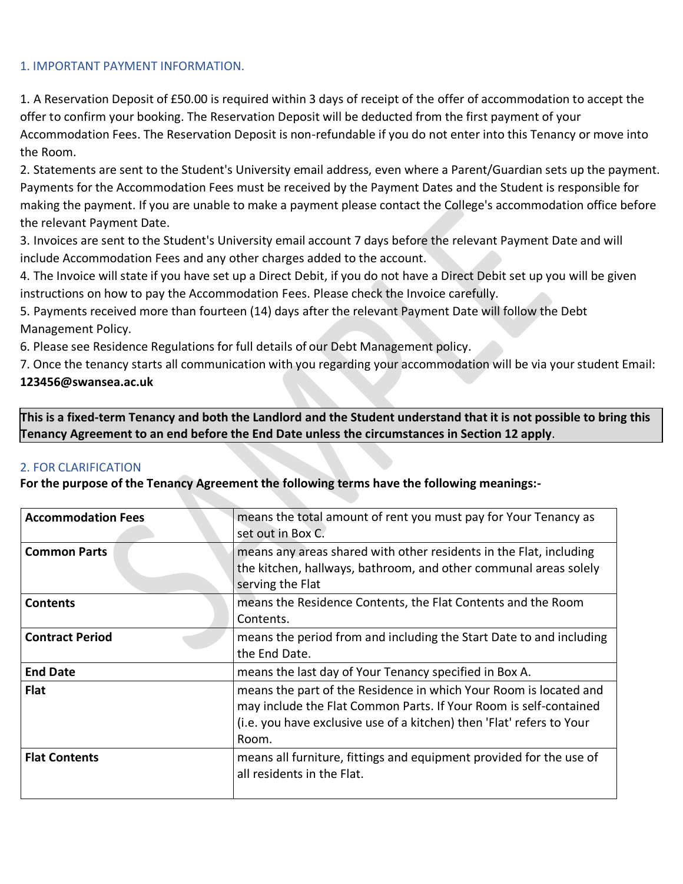#### 1. IMPORTANT PAYMENT INFORMATION.

1. A Reservation Deposit of £50.00 is required within 3 days of receipt of the offer of accommodation to accept the offer to confirm your booking. The Reservation Deposit will be deducted from the first payment of your Accommodation Fees. The Reservation Deposit is non-refundable if you do not enter into this Tenancy or move into the Room.

2. Statements are sent to the Student's University email address, even where a Parent/Guardian sets up the payment. Payments for the Accommodation Fees must be received by the Payment Dates and the Student is responsible for making the payment. If you are unable to make a payment please contact the College's accommodation office before the relevant Payment Date.

3. Invoices are sent to the Student's University email account 7 days before the relevant Payment Date and will include Accommodation Fees and any other charges added to the account.

4. The Invoice will state if you have set up a Direct Debit, if you do not have a Direct Debit set up you will be given instructions on how to pay the Accommodation Fees. Please check the Invoice carefully.

5. Payments received more than fourteen (14) days after the relevant Payment Date will follow the Debt Management Policy.

6. Please see Residence Regulations for full details of our Debt Management policy.

7. Once the tenancy starts all communication with you regarding your accommodation will be via your student Email: **[123456@swansea.ac.uk](mailto:123456@swansea.ac.uk)**

**This is a fixed-term Tenancy and both the Landlord and the Student understand that it is not possible to bring this Tenancy Agreement to an end before the End Date unless the circumstances in Section 12 apply**.

#### 2. FOR CLARIFICATION

**For the purpose of the Tenancy Agreement the following terms have the following meanings:-**

| <b>Accommodation Fees</b> | means the total amount of rent you must pay for Your Tenancy as<br>set out in Box C.                                                                                                                                     |
|---------------------------|--------------------------------------------------------------------------------------------------------------------------------------------------------------------------------------------------------------------------|
| <b>Common Parts</b>       | means any areas shared with other residents in the Flat, including<br>the kitchen, hallways, bathroom, and other communal areas solely<br>serving the Flat                                                               |
| <b>Contents</b>           | means the Residence Contents, the Flat Contents and the Room<br>Contents.                                                                                                                                                |
| <b>Contract Period</b>    | means the period from and including the Start Date to and including<br>the End Date.                                                                                                                                     |
| <b>End Date</b>           | means the last day of Your Tenancy specified in Box A.                                                                                                                                                                   |
| <b>Flat</b>               | means the part of the Residence in which Your Room is located and<br>may include the Flat Common Parts. If Your Room is self-contained<br>(i.e. you have exclusive use of a kitchen) then 'Flat' refers to Your<br>Room. |
| <b>Flat Contents</b>      | means all furniture, fittings and equipment provided for the use of<br>all residents in the Flat.                                                                                                                        |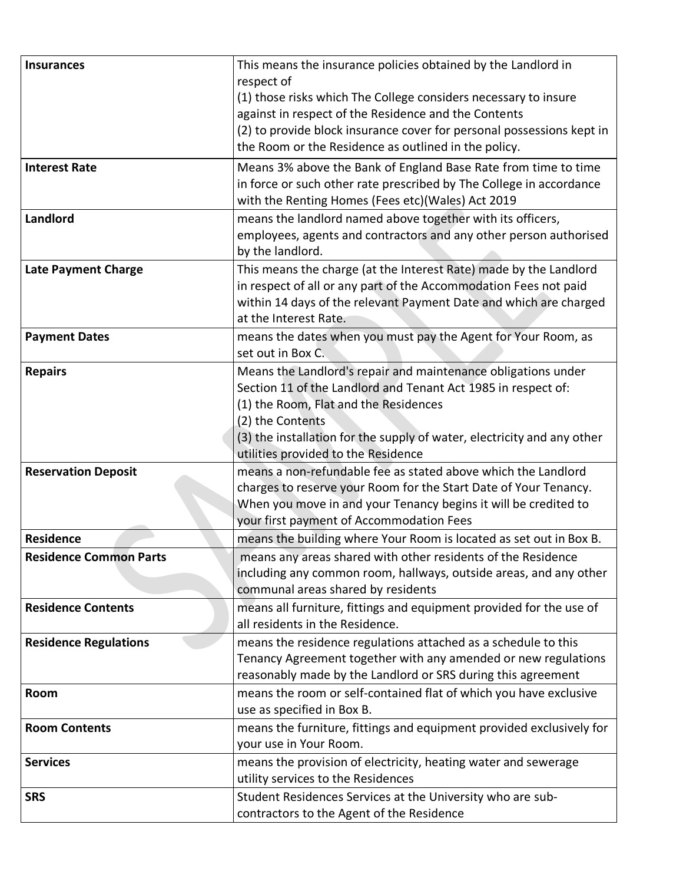| <b>Insurances</b>             | This means the insurance policies obtained by the Landlord in<br>respect of                                                                                                                                                         |  |
|-------------------------------|-------------------------------------------------------------------------------------------------------------------------------------------------------------------------------------------------------------------------------------|--|
|                               | (1) those risks which The College considers necessary to insure                                                                                                                                                                     |  |
|                               | against in respect of the Residence and the Contents                                                                                                                                                                                |  |
|                               | (2) to provide block insurance cover for personal possessions kept in                                                                                                                                                               |  |
|                               | the Room or the Residence as outlined in the policy.                                                                                                                                                                                |  |
| <b>Interest Rate</b>          | Means 3% above the Bank of England Base Rate from time to time<br>in force or such other rate prescribed by The College in accordance<br>with the Renting Homes (Fees etc)(Wales) Act 2019                                          |  |
| Landlord                      | means the landlord named above together with its officers,<br>employees, agents and contractors and any other person authorised<br>by the landlord.                                                                                 |  |
| <b>Late Payment Charge</b>    | This means the charge (at the Interest Rate) made by the Landlord<br>in respect of all or any part of the Accommodation Fees not paid<br>within 14 days of the relevant Payment Date and which are charged<br>at the Interest Rate. |  |
| <b>Payment Dates</b>          | means the dates when you must pay the Agent for Your Room, as<br>set out in Box C.                                                                                                                                                  |  |
| <b>Repairs</b>                | Means the Landlord's repair and maintenance obligations under                                                                                                                                                                       |  |
|                               | Section 11 of the Landlord and Tenant Act 1985 in respect of:                                                                                                                                                                       |  |
|                               | (1) the Room, Flat and the Residences<br>(2) the Contents                                                                                                                                                                           |  |
|                               | (3) the installation for the supply of water, electricity and any other                                                                                                                                                             |  |
|                               | utilities provided to the Residence                                                                                                                                                                                                 |  |
| <b>Reservation Deposit</b>    | means a non-refundable fee as stated above which the Landlord                                                                                                                                                                       |  |
|                               | charges to reserve your Room for the Start Date of Your Tenancy.                                                                                                                                                                    |  |
|                               | When you move in and your Tenancy begins it will be credited to                                                                                                                                                                     |  |
|                               | your first payment of Accommodation Fees                                                                                                                                                                                            |  |
| <b>Residence</b>              | means the building where Your Room is located as set out in Box B.                                                                                                                                                                  |  |
| <b>Residence Common Parts</b> | means any areas shared with other residents of the Residence<br>including any common room, hallways, outside areas, and any other<br>communal areas shared by residents                                                             |  |
| <b>Residence Contents</b>     | means all furniture, fittings and equipment provided for the use of<br>all residents in the Residence.                                                                                                                              |  |
| <b>Residence Regulations</b>  | means the residence regulations attached as a schedule to this                                                                                                                                                                      |  |
|                               | Tenancy Agreement together with any amended or new regulations<br>reasonably made by the Landlord or SRS during this agreement                                                                                                      |  |
| Room                          | means the room or self-contained flat of which you have exclusive                                                                                                                                                                   |  |
|                               | use as specified in Box B.                                                                                                                                                                                                          |  |
| <b>Room Contents</b>          | means the furniture, fittings and equipment provided exclusively for                                                                                                                                                                |  |
|                               | your use in Your Room.                                                                                                                                                                                                              |  |
| <b>Services</b>               | means the provision of electricity, heating water and sewerage                                                                                                                                                                      |  |
|                               | utility services to the Residences                                                                                                                                                                                                  |  |
| <b>SRS</b>                    | Student Residences Services at the University who are sub-                                                                                                                                                                          |  |
|                               | contractors to the Agent of the Residence                                                                                                                                                                                           |  |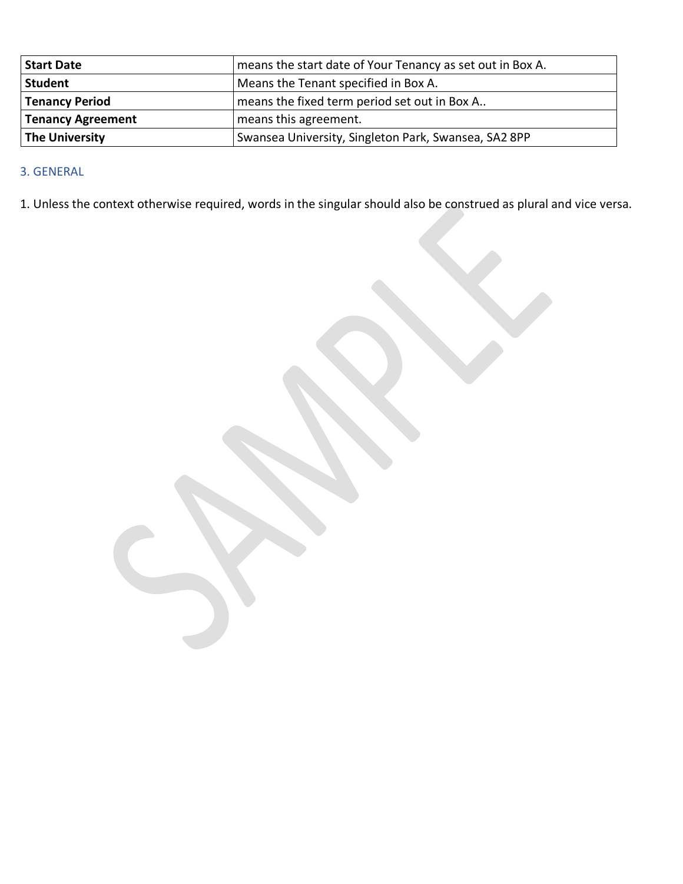| <b>Start Date</b>     | means the start date of Your Tenancy as set out in Box A. |  |
|-----------------------|-----------------------------------------------------------|--|
| Student               | Means the Tenant specified in Box A.                      |  |
| Tenancy Period        | means the fixed term period set out in Box A              |  |
| Tenancy Agreement     | means this agreement.                                     |  |
| <b>The University</b> | Swansea University, Singleton Park, Swansea, SA2 8PP      |  |

## 3. GENERAL

1. Unless the context otherwise required, words in the singular should also be construed as plural and vice versa.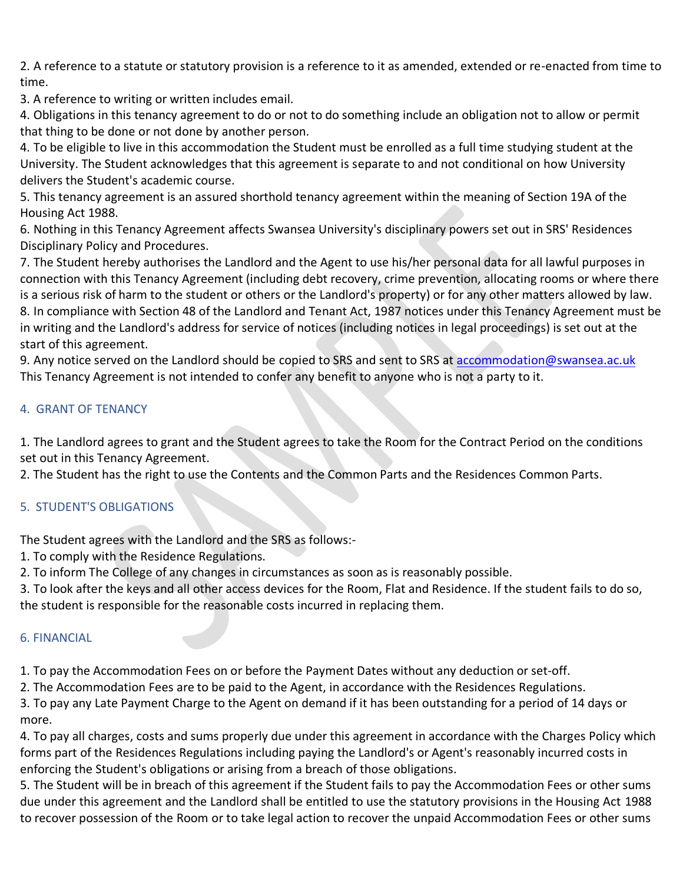2. A reference to a statute or statutory provision is a reference to it as amended, extended or re-enacted from time to time.

3. A reference to writing or written includes email.

4. Obligations in this tenancy agreement to do or not to do something include an obligation not to allow or permit that thing to be done or not done by another person.

4. To be eligible to live in this accommodation the Student must be enrolled as a full time studying student at the University. The Student acknowledges that this agreement is separate to and not conditional on how University delivers the Student's academic course.

5. This tenancy agreement is an assured shorthold tenancy agreement within the meaning of Section 19A of the Housing Act 1988.

6. Nothing in this Tenancy Agreement affects Swansea University's disciplinary powers set out in SRS' Residences Disciplinary Policy and Procedures.

7. The Student hereby authorises the Landlord and the Agent to use his/her personal data for all lawful purposes in connection with this Tenancy Agreement (including debt recovery, crime prevention, allocating rooms or where there is a serious risk of harm to the student or others or the Landlord's property) or for any other matters allowed by law. 8. In compliance with Section 48 of the Landlord and Tenant Act, 1987 notices under this Tenancy Agreement must be in writing and the Landlord's address for service of notices (including notices in legal proceedings) is set out at the start of this agreement.

9. Any notice served on the Landlord should be copied to SRS and sent to SRS at [accommodation@swansea.ac.uk](mailto:accommodation@swansea.ac.uk) This Tenancy Agreement is not intended to confer any benefit to anyone who is not a party to it.

## 4. GRANT OF TENANCY

1. The Landlord agrees to grant and the Student agrees to take the Room for the Contract Period on the conditions set out in this Tenancy Agreement.

2. The Student has the right to use the Contents and the Common Parts and the Residences Common Parts.

## 5. STUDENT'S OBLIGATIONS

The Student agrees with the Landlord and the SRS as follows:-

1. To comply with the Residence Regulations.

2. To inform The College of any changes in circumstances as soon as is reasonably possible.

3. To look after the keys and all other access devices for the Room, Flat and Residence. If the student fails to do so, the student is responsible for the reasonable costs incurred in replacing them.

## 6. FINANCIAL

1. To pay the Accommodation Fees on or before the Payment Dates without any deduction or set-off.

2. The Accommodation Fees are to be paid to the Agent, in accordance with the Residences Regulations.

3. To pay any Late Payment Charge to the Agent on demand if it has been outstanding for a period of 14 days or more.

4. To pay all charges, costs and sums properly due under this agreement in accordance with the Charges Policy which forms part of the Residences Regulations including paying the Landlord's or Agent's reasonably incurred costs in enforcing the Student's obligations or arising from a breach of those obligations.

5. The Student will be in breach of this agreement if the Student fails to pay the Accommodation Fees or other sums due under this agreement and the Landlord shall be entitled to use the statutory provisions in the Housing Act 1988 to recover possession of the Room or to take legal action to recover the unpaid Accommodation Fees or other sums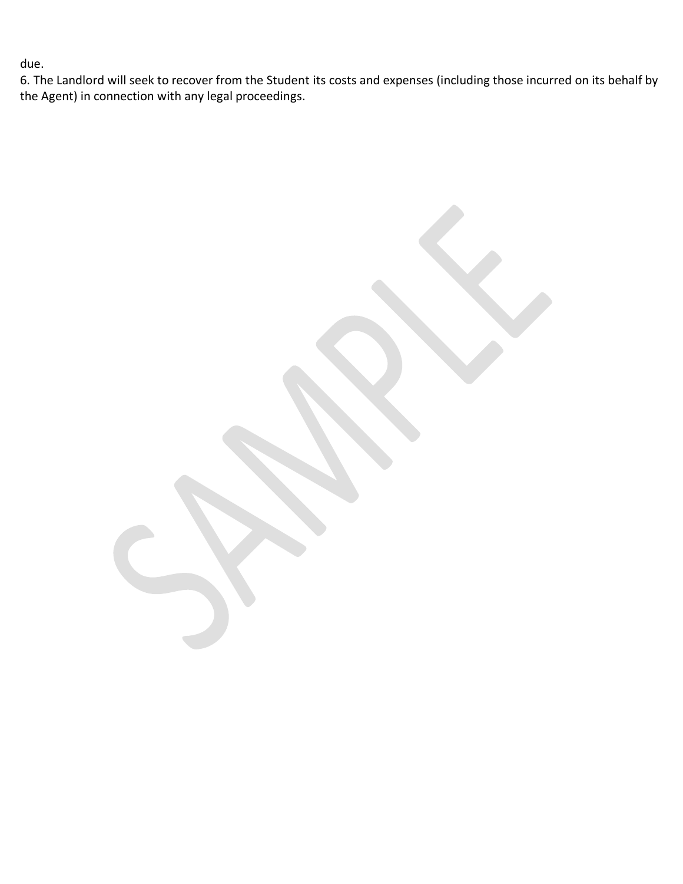due.

6. The Landlord will seek to recover from the Student its costs and expenses (including those incurred on its behalf by the Agent) in connection with any legal proceedings.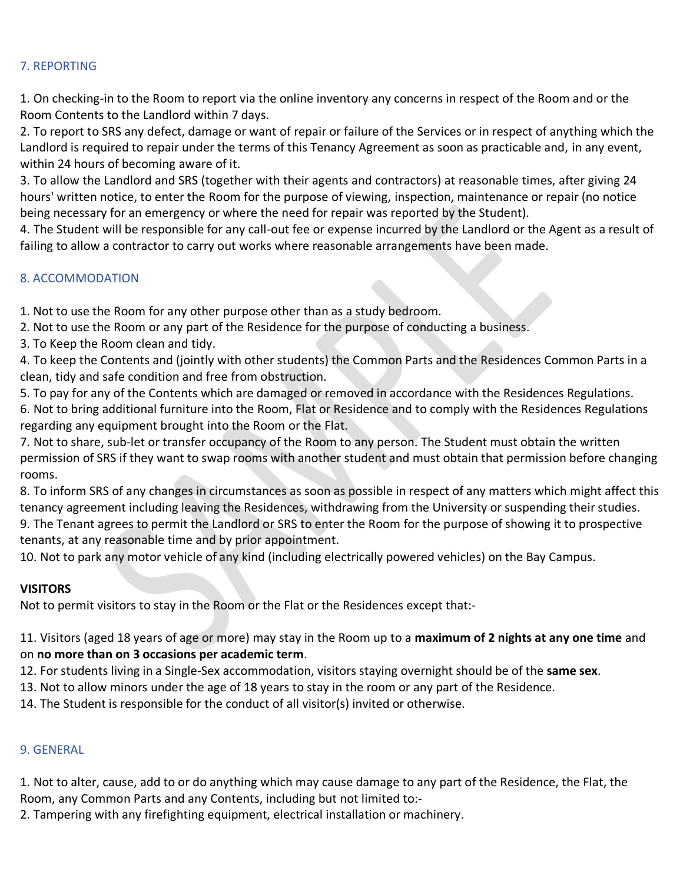#### 7. REPORTING

1. On checking-in to the Room to report via the online inventory any concerns in respect of the Room and or the Room Contents to the Landlord within 7 days.

2. To report to SRS any defect, damage or want of repair or failure of the Services or in respect of anything which the Landlord is required to repair under the terms of this Tenancy Agreement as soon as practicable and, in any event, within 24 hours of becoming aware of it.

3. To allow the Landlord and SRS (together with their agents and contractors) at reasonable times, after giving 24 hours' written notice, to enter the Room for the purpose of viewing, inspection, maintenance or repair (no notice being necessary for an emergency or where the need for repair was reported by the Student).

4. The Student will be responsible for any call-out fee or expense incurred by the Landlord or the Agent as a result of failing to allow a contractor to carry out works where reasonable arrangements have been made.

#### 8. ACCOMMODATION

1. Not to use the Room for any other purpose other than as a study bedroom.

- 2. Not to use the Room or any part of the Residence for the purpose of conducting a business.
- 3. To Keep the Room clean and tidy.

4. To keep the Contents and (jointly with other students) the Common Parts and the Residences Common Parts in a clean, tidy and safe condition and free from obstruction.

5. To pay for any of the Contents which are damaged or removed in accordance with the Residences Regulations. 6. Not to bring additional furniture into the Room, Flat or Residence and to comply with the Residences Regulations regarding any equipment brought into the Room or the Flat.

7. Not to share, sub-let or transfer occupancy of the Room to any person. The Student must obtain the written permission of SRS if they want to swap rooms with another student and must obtain that permission before changing rooms.

8. To inform SRS of any changes in circumstances as soon as possible in respect of any matters which might affect this tenancy agreement including leaving the Residences, withdrawing from the University or suspending their studies.

9. The Tenant agrees to permit the Landlord or SRS to enter the Room for the purpose of showing it to prospective tenants, at any reasonable time and by prior appointment.

10. Not to park any motor vehicle of any kind (including electrically powered vehicles) on the Bay Campus.

#### **VISITORS**

Not to permit visitors to stay in the Room or the Flat or the Residences except that:-

## 11. Visitors (aged 18 years of age or more) may stay in the Room up to a **maximum of 2 nights at any one time** and on **no more than on 3 occasions per academic term**.

- 12. For students living in a Single-Sex accommodation, visitors staying overnight should be of the **same sex**.
- 13. Not to allow minors under the age of 18 years to stay in the room or any part of the Residence.
- 14. The Student is responsible for the conduct of all visitor(s) invited or otherwise.

#### 9. GENERAL

1. Not to alter, cause, add to or do anything which may cause damage to any part of the Residence, the Flat, the Room, any Common Parts and any Contents, including but not limited to:-

2. Tampering with any firefighting equipment, electrical installation or machinery.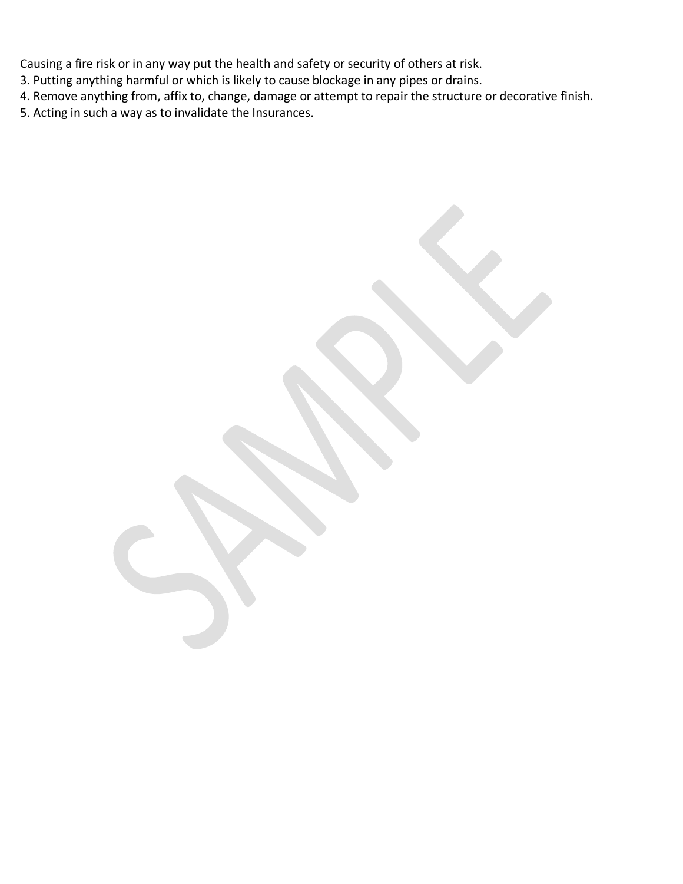Causing a fire risk or in any way put the health and safety or security of others at risk.

- 3. Putting anything harmful or which is likely to cause blockage in any pipes or drains.
- 4. Remove anything from, affix to, change, damage or attempt to repair the structure or decorative finish.
- 5. Acting in such a way as to invalidate the Insurances.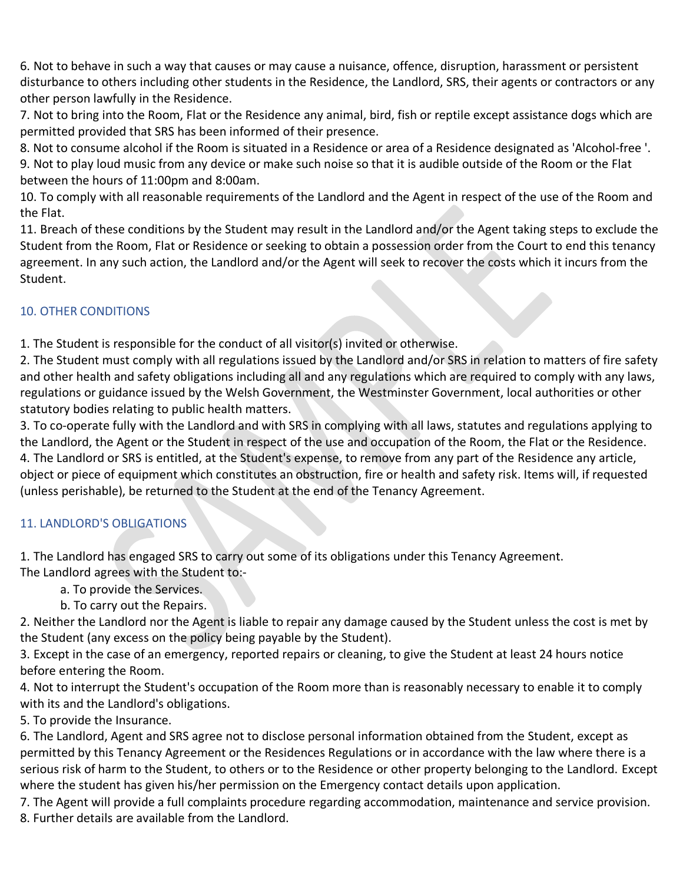6. Not to behave in such a way that causes or may cause a nuisance, offence, disruption, harassment or persistent disturbance to others including other students in the Residence, the Landlord, SRS, their agents or contractors or any other person lawfully in the Residence.

7. Not to bring into the Room, Flat or the Residence any animal, bird, fish or reptile except assistance dogs which are permitted provided that SRS has been informed of their presence.

8. Not to consume alcohol if the Room is situated in a Residence or area of a Residence designated as 'Alcohol-free '. 9. Not to play loud music from any device or make such noise so that it is audible outside of the Room or the Flat between the hours of 11:00pm and 8:00am.

10. To comply with all reasonable requirements of the Landlord and the Agent in respect of the use of the Room and the Flat.

11. Breach of these conditions by the Student may result in the Landlord and/or the Agent taking steps to exclude the Student from the Room, Flat or Residence or seeking to obtain a possession order from the Court to end this tenancy agreement. In any such action, the Landlord and/or the Agent will seek to recover the costs which it incurs from the Student.

## 10. OTHER CONDITIONS

1. The Student is responsible for the conduct of all visitor(s) invited or otherwise.

2. The Student must comply with all regulations issued by the Landlord and/or SRS in relation to matters of fire safety and other health and safety obligations including all and any regulations which are required to comply with any laws, regulations or guidance issued by the Welsh Government, the Westminster Government, local authorities or other statutory bodies relating to public health matters.

3. To co-operate fully with the Landlord and with SRS in complying with all laws, statutes and regulations applying to the Landlord, the Agent or the Student in respect of the use and occupation of the Room, the Flat or the Residence. 4. The Landlord or SRS is entitled, at the Student's expense, to remove from any part of the Residence any article, object or piece of equipment which constitutes an obstruction, fire or health and safety risk. Items will, if requested (unless perishable), be returned to the Student at the end of the Tenancy Agreement.

# 11. LANDLORD'S OBLIGATIONS

1. The Landlord has engaged SRS to carry out some of its obligations under this Tenancy Agreement. The Landlord agrees with the Student to:-

- a. To provide the Services.
- b. To carry out the Repairs.

2. Neither the Landlord nor the Agent is liable to repair any damage caused by the Student unless the cost is met by the Student (any excess on the policy being payable by the Student).

3. Except in the case of an emergency, reported repairs or cleaning, to give the Student at least 24 hours notice before entering the Room.

4. Not to interrupt the Student's occupation of the Room more than is reasonably necessary to enable it to comply with its and the Landlord's obligations.

5. To provide the Insurance.

6. The Landlord, Agent and SRS agree not to disclose personal information obtained from the Student, except as permitted by this Tenancy Agreement or the Residences Regulations or in accordance with the law where there is a serious risk of harm to the Student, to others or to the Residence or other property belonging to the Landlord. Except where the student has given his/her permission on the Emergency contact details upon application.

7. The Agent will provide a full complaints procedure regarding accommodation, maintenance and service provision. 8. Further details are available from the Landlord.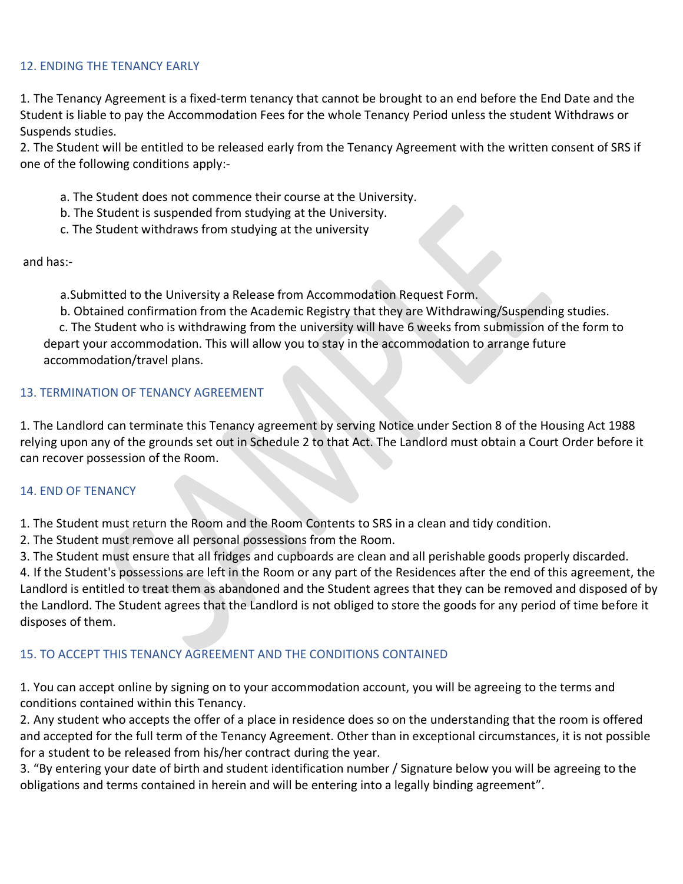#### 12. ENDING THE TENANCY EARLY

1. The Tenancy Agreement is a fixed-term tenancy that cannot be brought to an end before the End Date and the Student is liable to pay the Accommodation Fees for the whole Tenancy Period unless the student Withdraws or Suspends studies.

2. The Student will be entitled to be released early from the Tenancy Agreement with the written consent of SRS if one of the following conditions apply:-

- a. The Student does not commence their course at the University.
- b. The Student is suspended from studying at the University.
- c. The Student withdraws from studying at the university

and has:-

a.Submitted to the University a Release from Accommodation Request Form.

b. Obtained confirmation from the Academic Registry that they are Withdrawing/Suspending studies.

c. The Student who is withdrawing from the university will have 6 weeks from submission of the form to depart your accommodation. This will allow you to stay in the accommodation to arrange future accommodation/travel plans.

#### 13. TERMINATION OF TENANCY AGREEMENT

1. The Landlord can terminate this Tenancy agreement by serving Notice under Section 8 of the Housing Act 1988 relying upon any of the grounds set out in Schedule 2 to that Act. The Landlord must obtain a Court Order before it can recover possession of the Room.

#### 14. END OF TENANCY

1. The Student must return the Room and the Room Contents to SRS in a clean and tidy condition.

2. The Student must remove all personal possessions from the Room.

3. The Student must ensure that all fridges and cupboards are clean and all perishable goods properly discarded. 4. If the Student's possessions are left in the Room or any part of the Residences after the end of this agreement, the Landlord is entitled to treat them as abandoned and the Student agrees that they can be removed and disposed of by the Landlord. The Student agrees that the Landlord is not obliged to store the goods for any period of time before it disposes of them.

## 15. TO ACCEPT THIS TENANCY AGREEMENT AND THE CONDITIONS CONTAINED

1. You can accept online by signing on to your accommodation account, you will be agreeing to the terms and conditions contained within this Tenancy.

2. Any student who accepts the offer of a place in residence does so on the understanding that the room is offered and accepted for the full term of the Tenancy Agreement. Other than in exceptional circumstances, it is not possible for a student to be released from his/her contract during the year.

3. "By entering your date of birth and student identification number / Signature below you will be agreeing to the obligations and terms contained in herein and will be entering into a legally binding agreement".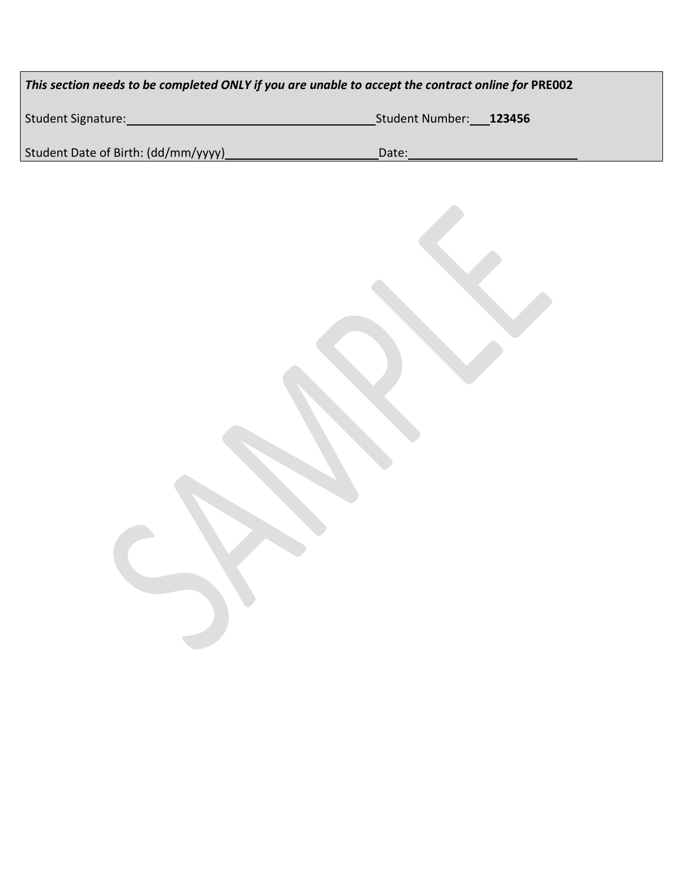| This section needs to be completed ONLY if you are unable to accept the contract online for PRE002 |                                  |  |
|----------------------------------------------------------------------------------------------------|----------------------------------|--|
| <b>Student Signature:</b>                                                                          | <b>Student Number:</b><br>123456 |  |
| Student Date of Birth: (dd/mm/yyyy)                                                                | Date:                            |  |